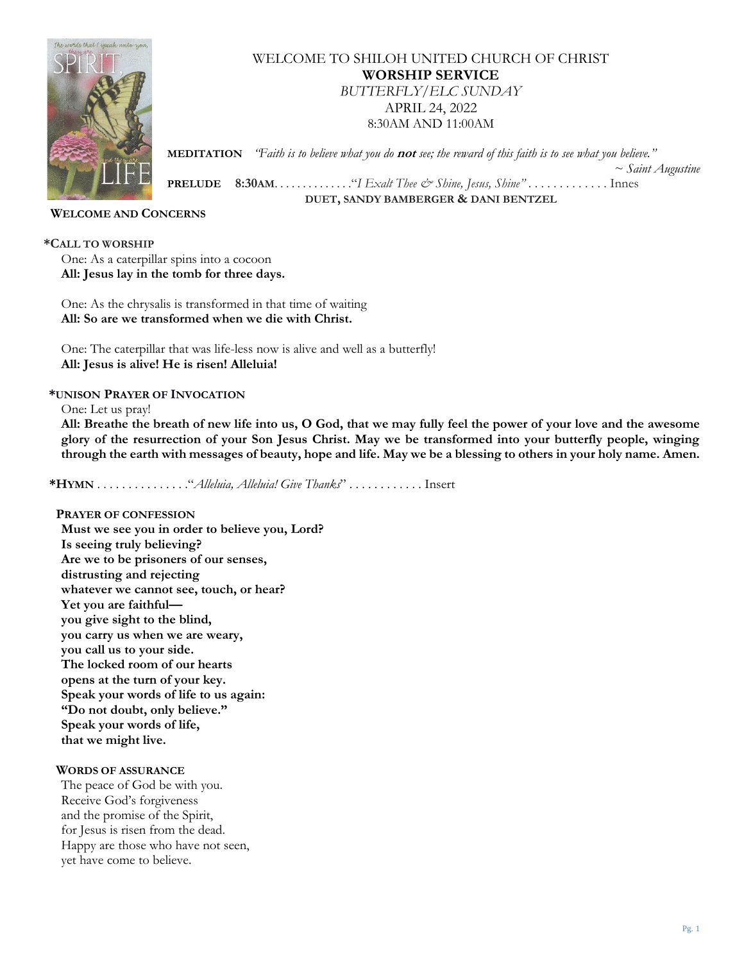

WELCOME TO SHILOH UNITED CHURCH OF CHRIST **WORSHIP SERVICE** *BUTTERFLY/ELC SUNDAY* APRIL 24, 2022 8:30AM AND 11:00AM

 **MEDITATION** *"Faith is to believe what you do* **not** *see; the reward of this faith is to see what you believe."* 

 **PRELUDE 8:30AM**. . . . . . . . . . . . . ."*I Exalt Thee & Shine, Jesus, Shine"* . . . . . . . . . . . . . Innes **DUET, SANDY BAMBERGER & DANI BENTZEL**

### **WELCOME AND CONCERNS**

**\*CALL TO WORSHIP**

One: As a caterpillar spins into a cocoon **All: Jesus lay in the tomb for three days.**

One: As the chrysalis is transformed in that time of waiting **All: So are we transformed when we die with Christ.**

One: The caterpillar that was life-less now is alive and well as a butterfly! **All: Jesus is alive! He is risen! Alleluia!**

#### **\*UNISON PRAYER OF INVOCATION**

One: Let us pray!

**All: Breathe the breath of new life into us, O God, that we may fully feel the power of your love and the awesome glory of the resurrection of your Son Jesus Christ. May we be transformed into your butterfly people, winging through the earth with messages of beauty, hope and life. May we be a blessing to others in your holy name. Amen.**

**\*HYMN** . . . . . . . . . . . . . . ."*Alleluia, Alleluia! Give Thanks*" . . . . . . . . . . . . Insert

# **PRAYER OF CONFESSION**

**Must we see you in order to believe you, Lord? Is seeing truly believing? Are we to be prisoners of our senses, distrusting and rejecting whatever we cannot see, touch, or hear? Yet you are faithful you give sight to the blind, you carry us when we are weary, you call us to your side. The locked room of our hearts opens at the turn of your key. Speak your words of life to us again: "Do not doubt, only believe." Speak your words of life, that we might live.**

#### **WORDS OF ASSURANCE**

The peace of God be with you. Receive God's forgiveness and the promise of the Spirit, for Jesus is risen from the dead. Happy are those who have not seen, yet have come to believe.

*~ Saint Augustine*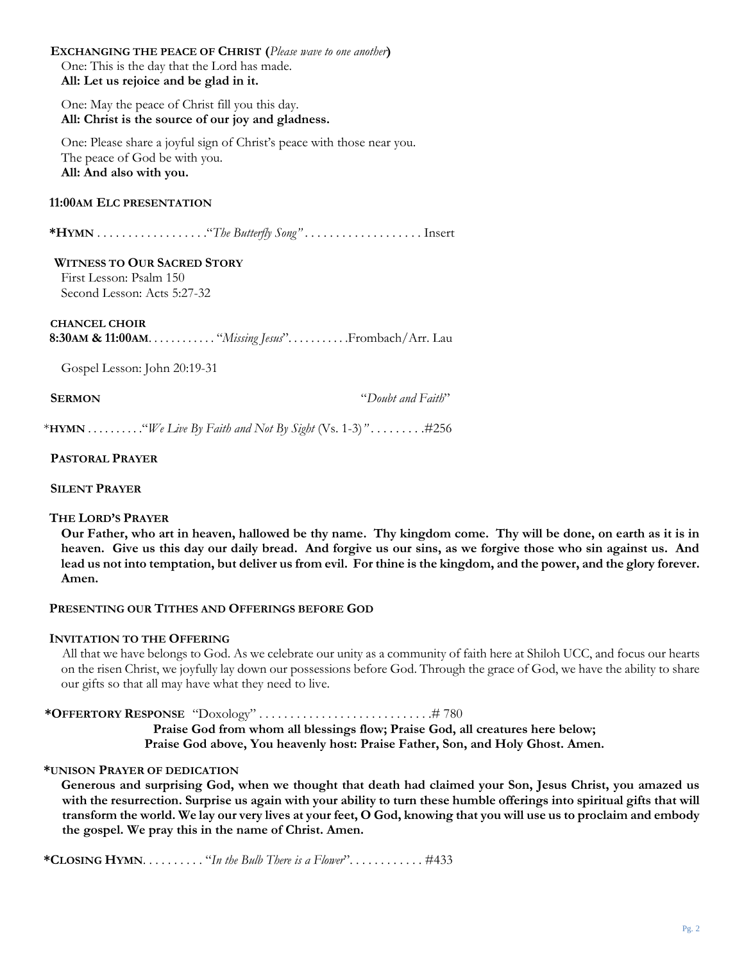| <b>EXCHANGING THE PEACE OF CHRIST (Please wave to one another)</b><br>One: This is the day that the Lord has made.<br>All: Let us rejoice and be glad in it. |
|--------------------------------------------------------------------------------------------------------------------------------------------------------------|
| One: May the peace of Christ fill you this day.<br>All: Christ is the source of our joy and gladness.                                                        |
| One: Please share a joyful sign of Christ's peace with those near you.<br>The peace of God be with you.<br>All: And also with you.                           |
| 11:00AM ELC PRESENTATION                                                                                                                                     |
|                                                                                                                                                              |
| <b>WITNESS TO OUR SACRED STORY</b><br>First Lesson: Psalm 150<br>Second Lesson: Acts 5:27-32                                                                 |
| <b>CHANCEL CHOIR</b>                                                                                                                                         |
| Gospel Lesson: John 20:19-31                                                                                                                                 |

**SERMON** "*Doubt and Faith*"

\***HYMN** . . . . . . . . . ."*We Live By Faith and Not By Sight* (Vs. 1-3)*" . . . . . . . .* .#256

 **PASTORAL PRAYER**

### **SILENT PRAYER**

#### **THE LORD'S PRAYER**

**Our Father, who art in heaven, hallowed be thy name. Thy kingdom come. Thy will be done, on earth as it is in heaven. Give us this day our daily bread. And forgive us our sins, as we forgive those who sin against us. And lead us not into temptation, but deliver us from evil. For thine is the kingdom, and the power, and the glory forever. Amen.**

#### **PRESENTING OUR TITHES AND OFFERINGS BEFORE GOD**

#### **INVITATION TO THE OFFERING**

All that we have belongs to God. As we celebrate our unity as a community of faith here at Shiloh UCC, and focus our hearts on the risen Christ, we joyfully lay down our possessions before God. Through the grace of God, we have the ability to share our gifts so that all may have what they need to live.

#### **\*OFFERTORY RESPONSE** "Doxology" . . . . . . . . . . . . . . . . . . . . . . . . . . . .# 780

**Praise God from whom all blessings flow; Praise God, all creatures here below; Praise God above, You heavenly host: Praise Father, Son, and Holy Ghost. Amen.**

#### **\*UNISON PRAYER OF DEDICATION**

**Generous and surprising God, when we thought that death had claimed your Son, Jesus Christ, you amazed us with the resurrection. Surprise us again with your ability to turn these humble offerings into spiritual gifts that will transform the world. We lay our very lives at your feet, O God, knowing that you will use us to proclaim and embody the gospel. We pray this in the name of Christ. Amen.**

**\*CLOSING HYMN**. . . . . . . . . . "*In the Bulb There is a Flower*". . . . . . . . . . . . #433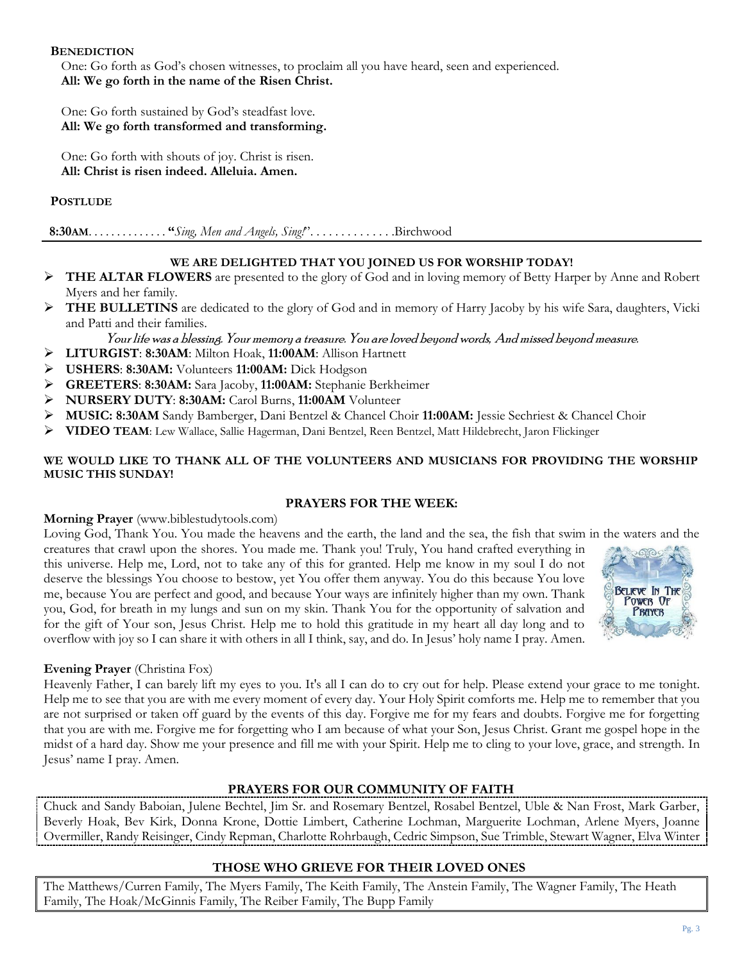### **BENEDICTION**

One: Go forth as God's chosen witnesses, to proclaim all you have heard, seen and experienced. **All: We go forth in the name of the Risen Christ.**

One: Go forth sustained by God's steadfast love. **All: We go forth transformed and transforming.**

One: Go forth with shouts of joy. Christ is risen. **All: Christ is risen indeed. Alleluia. Amen.**

## **POSTLUDE**

 **8:30AM**. . . . . . . . . . . . . . **"***Sing, Men and Angels, Sing!*". . . . . . . . . . . . . .Birchwood

# **WE ARE DELIGHTED THAT YOU JOINED US FOR WORSHIP TODAY!**

- ➢ **THE ALTAR FLOWERS** are presented to the glory of God and in loving memory of Betty Harper by Anne and Robert Myers and her family.
- ➢ **THE BULLETINS** are dedicated to the glory of God and in memory of Harry Jacoby by his wife Sara, daughters, Vicki and Patti and their families.
	- Your life was a blessing.Your memory a treasure.You are loved beyond words, And missed beyond measure.
- ➢ **LITURGIST**: **8:30AM**: Milton Hoak, **11:00AM**: Allison Hartnett
- ➢ **USHERS**: **8:30AM:** Volunteers **11:00AM:** Dick Hodgson
- ➢ **GREETERS**: **8:30AM:** Sara Jacoby, **11:00AM:** Stephanie Berkheimer
- ➢ **NURSERY DUTY**: **8:30AM:** Carol Burns, **11:00AM** Volunteer
- ➢ **MUSIC: 8:30AM** Sandy Bamberger, Dani Bentzel & Chancel Choir **11:00AM:** Jessie Sechriest & Chancel Choir
- ➢ **VIDEO TEAM**: Lew Wallace, Sallie Hagerman, Dani Bentzel, Reen Bentzel, Matt Hildebrecht, Jaron Flickinger

#### **WE WOULD LIKE TO THANK ALL OF THE VOLUNTEERS AND MUSICIANS FOR PROVIDING THE WORSHIP MUSIC THIS SUNDAY!**

#### **PRAYERS FOR THE WEEK:**

#### **Morning Prayer** (www.biblestudytools.com)

Loving God, Thank You. You made the heavens and the earth, the land and the sea, the fish that swim in the waters and the creatures that crawl upon the shores. You made me. Thank you! Truly, You hand crafted everything in

this universe. Help me, Lord, not to take any of this for granted. Help me know in my soul I do not deserve the blessings You choose to bestow, yet You offer them anyway. You do this because You love me, because You are perfect and good, and because Your ways are infinitely higher than my own. Thank you, God, for breath in my lungs and sun on my skin. Thank You for the opportunity of salvation and for the gift of Your son, Jesus Christ. Help me to hold this gratitude in my heart all day long and to overflow with joy so I can share it with others in all I think, say, and do. In Jesus' holy name I pray. Amen.



### **Evening Prayer** (Christina Fox)

Heavenly Father, I can barely lift my eyes to you. It's all I can do to cry out for help. Please extend your grace to me tonight. Help me to see that you are with me every moment of every day. Your Holy Spirit comforts me. Help me to remember that you are not surprised or taken off guard by the events of this day. Forgive me for my fears and doubts. Forgive me for forgetting that you are with me. Forgive me for forgetting who I am because of what your Son, Jesus Christ. Grant me gospel hope in the midst of a hard day. Show me your presence and fill me with your Spirit. Help me to cling to your love, grace, and strength. In Jesus' name I pray. Amen.

### **PRAYERS FOR OUR COMMUNITY OF FAITH**

Chuck and Sandy Baboian, Julene Bechtel, Jim Sr. and Rosemary Bentzel, Rosabel Bentzel, Uble & Nan Frost, Mark Garber, Beverly Hoak, Bev Kirk, Donna Krone, Dottie Limbert, Catherine Lochman, Marguerite Lochman, Arlene Myers, Joanne Overmiller, Randy Reisinger, Cindy Repman, Charlotte Rohrbaugh, Cedric Simpson, Sue Trimble, Stewart Wagner, Elva Winter

### **THOSE WHO GRIEVE FOR THEIR LOVED ONES**

The Matthews/Curren Family, The Myers Family, The Keith Family, The Anstein Family, The Wagner Family, The Heath Family, The Hoak/McGinnis Family, The Reiber Family, The Bupp Family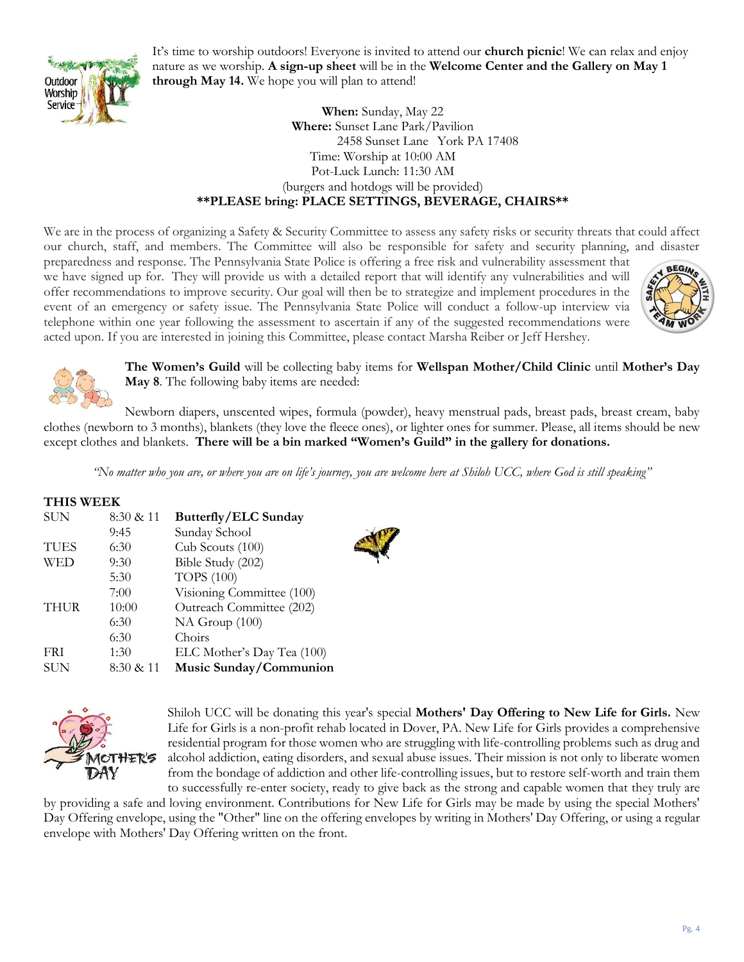

It's time to worship outdoors! Everyone is invited to attend our **church picnic**! We can relax and enjoy nature as we worship. **A sign-up sheet** will be in the **Welcome Center and the Gallery on May 1 through May 14.** We hope you will plan to attend!

# **When:** Sunday, May 22 **Where:** Sunset Lane Park/Pavilion 2458 Sunset Lane York PA 17408 Time: Worship at 10:00 AM Pot-Luck Lunch: 11:30 AM (burgers and hotdogs will be provided) **\*\*PLEASE bring: PLACE SETTINGS, BEVERAGE, CHAIRS\*\***

We are in the process of organizing a Safety & Security Committee to assess any safety risks or security threats that could affect our church, staff, and members. The Committee will also be responsible for safety and security planning, and disaster

preparedness and response. The Pennsylvania State Police is offering a free risk and vulnerability assessment that we have signed up for. They will provide us with a detailed report that will identify any vulnerabilities and will offer recommendations to improve security. Our goal will then be to strategize and implement procedures in the event of an emergency or safety issue. The Pennsylvania State Police will conduct a follow-up interview via telephone within one year following the assessment to ascertain if any of the suggested recommendations were acted upon. If you are interested in joining this Committee, please contact Marsha Reiber or Jeff Hershey.





**The Women's Guild** will be collecting baby items for **Wellspan Mother/Child Clinic** until **Mother's Day May 8**. The following baby items are needed:

Newborn diapers, unscented wipes, formula (powder), heavy menstrual pads, breast pads, breast cream, baby clothes (newborn to 3 months), blankets (they love the fleece ones), or lighter ones for summer. Please, all items should be new except clothes and blankets. **There will be a bin marked "Women's Guild" in the gallery for donations.**

*"No matter who you are, or where you are on life's journey, you are welcome here at Shiloh UCC, where God is still speaking"*

### **THIS WEEK**

| <b>SUN</b>  | 8:30 & 11 | <b>Butterfly/ELC Sunday</b> |  |
|-------------|-----------|-----------------------------|--|
|             | 9:45      | Sunday School               |  |
| <b>TUES</b> | 6:30      | Cub Scouts (100)            |  |
| <b>WED</b>  | 9:30      | Bible Study (202)           |  |
|             | 5:30      | <b>TOPS</b> (100)           |  |
|             | 7:00      | Visioning Committee (100)   |  |
| <b>THUR</b> | 10:00     | Outreach Committee (202)    |  |
|             | 6:30      | NA Group (100)              |  |
|             | 6:30      | Choirs                      |  |
| <b>FRI</b>  | 1:30      | ELC Mother's Day Tea (100)  |  |
| <b>SUN</b>  | 8:30 & 11 | Music Sunday/Communion      |  |





Shiloh UCC will be donating this year's special **Mothers' Day Offering to New Life for Girls.** New Life for Girls is a non-profit rehab located in Dover, PA. New Life for Girls provides a comprehensive residential program for those women who are struggling with life-controlling problems such as drug and alcohol addiction, eating disorders, and sexual abuse issues. Their mission is not only to liberate women from the bondage of addiction and other life-controlling issues, but to restore self-worth and train them to successfully re-enter society, ready to give back as the strong and capable women that they truly are

by providing a safe and loving environment. Contributions for New Life for Girls may be made by using the special Mothers' Day Offering envelope, using the "Other" line on the offering envelopes by writing in Mothers' Day Offering, or using a regular envelope with Mothers' Day Offering written on the front.